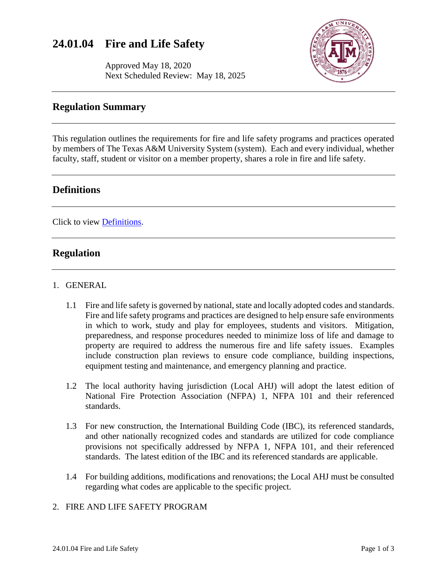# **24.01.04 Fire and Life Safety**

Approved May 18, 2020 Next Scheduled Review: May 18, 2025



## **Regulation Summary**

This regulation outlines the requirements for fire and life safety programs and practices operated by members of The Texas A&M University System (system). Each and every individual, whether faculty, staff, student or visitor on a member property, shares a role in fire and life safety.

# **Definitions**

Click to view [Definitions.](https://assets.system.tamus.edu/files/policy/pdf/definitions/24-01-04-Definitions.pdf)

# **Regulation**

#### 1. GENERAL

- 1.1 Fire and life safety is governed by national, state and locally adopted codes and standards. Fire and life safety programs and practices are designed to help ensure safe environments in which to work, study and play for employees, students and visitors. Mitigation, preparedness, and response procedures needed to minimize loss of life and damage to property are required to address the numerous fire and life safety issues. Examples include construction plan reviews to ensure code compliance, building inspections, equipment testing and maintenance, and emergency planning and practice.
- 1.2 The local authority having jurisdiction (Local AHJ) will adopt the latest edition of National Fire Protection Association (NFPA) 1, NFPA 101 and their referenced standards.
- 1.3 For new construction, the International Building Code (IBC), its referenced standards, and other nationally recognized codes and standards are utilized for code compliance provisions not specifically addressed by NFPA 1, NFPA 101, and their referenced standards. The latest edition of the IBC and its referenced standards are applicable.
- 1.4 For building additions, modifications and renovations; the Local AHJ must be consulted regarding what codes are applicable to the specific project.

## 2. FIRE AND LIFE SAFETY PROGRAM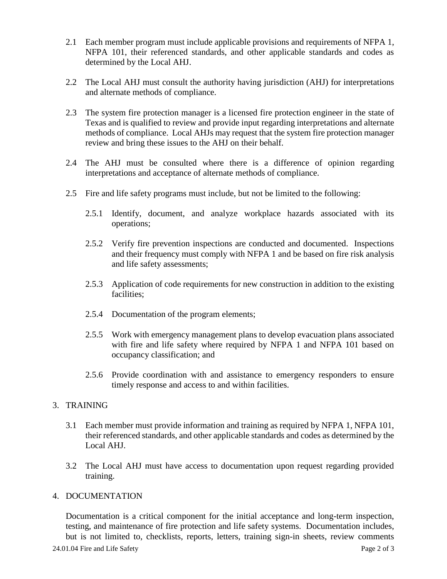- 2.1 Each member program must include applicable provisions and requirements of NFPA 1, NFPA 101, their referenced standards, and other applicable standards and codes as determined by the Local AHJ.
- 2.2 The Local AHJ must consult the authority having jurisdiction (AHJ) for interpretations and alternate methods of compliance.
- 2.3 The system fire protection manager is a licensed fire protection engineer in the state of Texas and is qualified to review and provide input regarding interpretations and alternate methods of compliance. Local AHJs may request that the system fire protection manager review and bring these issues to the AHJ on their behalf.
- 2.4 The AHJ must be consulted where there is a difference of opinion regarding interpretations and acceptance of alternate methods of compliance.
- 2.5 Fire and life safety programs must include, but not be limited to the following:
	- 2.5.1 Identify, document, and analyze workplace hazards associated with its operations;
	- 2.5.2 Verify fire prevention inspections are conducted and documented. Inspections and their frequency must comply with NFPA 1 and be based on fire risk analysis and life safety assessments;
	- 2.5.3 Application of code requirements for new construction in addition to the existing facilities;
	- 2.5.4 Documentation of the program elements;
	- 2.5.5 Work with emergency management plans to develop evacuation plans associated with fire and life safety where required by NFPA 1 and NFPA 101 based on occupancy classification; and
	- 2.5.6 Provide coordination with and assistance to emergency responders to ensure timely response and access to and within facilities.

## 3. TRAINING

- 3.1 Each member must provide information and training as required by NFPA 1, NFPA 101, their referenced standards, and other applicable standards and codes as determined by the Local AHJ.
- 3.2 The Local AHJ must have access to documentation upon request regarding provided training.

#### 4. DOCUMENTATION

Documentation is a critical component for the initial acceptance and long-term inspection, testing, and maintenance of fire protection and life safety systems. Documentation includes, but is not limited to, checklists, reports, letters, training sign-in sheets, review comments